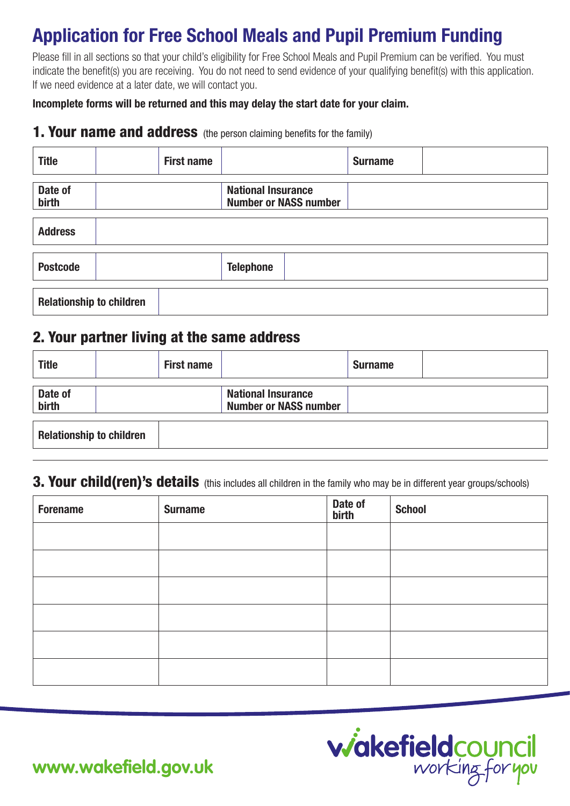# **Application for Free School Meals and Pupil Premium Funding**

Please fill in all sections so that your child's eligibility for Free School Meals and Pupil Premium can be verified. You must indicate the benefit(s) you are receiving. You do not need to send evidence of your qualifying benefit(s) with this application. If we need evidence at a later date, we will contact you.

**Incomplete forms will be returned and this may delay the start date for your claim.**

#### **1. Your name and address** (the person claiming benefits for the family)

| <b>Title</b>                    | <b>First name</b> |                                                           | <b>Surname</b> |  |
|---------------------------------|-------------------|-----------------------------------------------------------|----------------|--|
| Date of<br>birth                |                   | <b>National Insurance</b><br><b>Number or NASS number</b> |                |  |
| <b>Address</b>                  |                   |                                                           |                |  |
| <b>Postcode</b>                 |                   | <b>Telephone</b>                                          |                |  |
| <b>Relationship to children</b> |                   |                                                           |                |  |

### 2. Your partner living at the same address

| <b>Title</b>                    |  | <b>First name</b> |                                                           | <b>Surname</b> |  |
|---------------------------------|--|-------------------|-----------------------------------------------------------|----------------|--|
| Date of<br>birth                |  |                   | <b>National Insurance</b><br><b>Number or NASS number</b> |                |  |
| <b>Relationship to children</b> |  |                   |                                                           |                |  |

# 3. Your child(ren)'s details (this includes all children in the family who may be in different year groups/schools)

| <b>Forename</b> | <b>Surname</b> | Date of<br>birth | <b>School</b> |
|-----------------|----------------|------------------|---------------|
|                 |                |                  |               |
|                 |                |                  |               |
|                 |                |                  |               |
|                 |                |                  |               |
|                 |                |                  |               |
|                 |                |                  |               |



**www.wakefield.gov.uk**